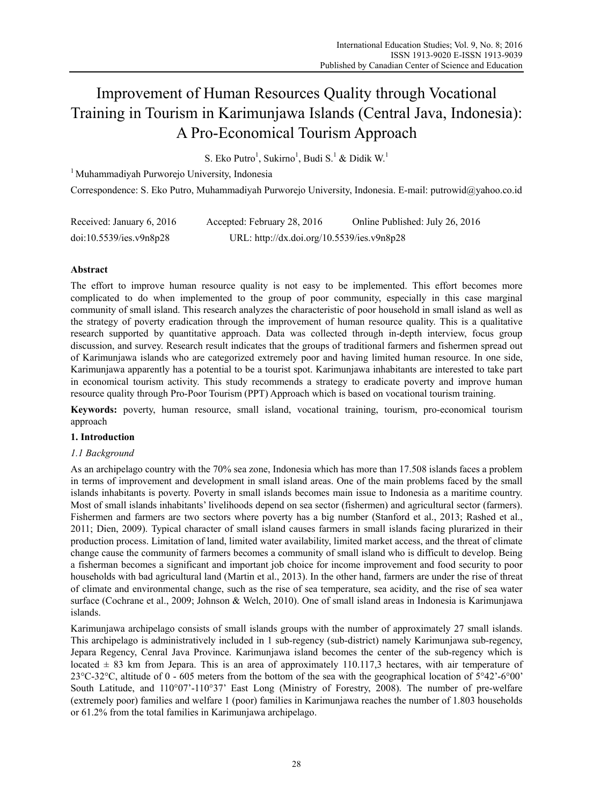# Improvement of Human Resources Quality through Vocational Training in Tourism in Karimunjawa Islands (Central Java, Indonesia): A Pro-Economical Tourism Approach

S. Eko Putro<sup>1</sup>, Sukirno<sup>1</sup>, Budi S.<sup>1</sup> & Didik W.<sup>1</sup>

1 Muhammadiyah Purworejo University, Indonesia

Correspondence: S. Eko Putro, Muhammadiyah Purworejo University, Indonesia. E-mail: putrowid@yahoo.co.id

| Received: January 6, 2016 | Accepted: February 28, 2016                | Online Published: July 26, 2016 |
|---------------------------|--------------------------------------------|---------------------------------|
| doi:10.5539/ies.v9n8p28   | URL: http://dx.doi.org/10.5539/ies.v9n8p28 |                                 |

## **Abstract**

The effort to improve human resource quality is not easy to be implemented. This effort becomes more complicated to do when implemented to the group of poor community, especially in this case marginal community of small island. This research analyzes the characteristic of poor household in small island as well as the strategy of poverty eradication through the improvement of human resource quality. This is a qualitative research supported by quantitative approach. Data was collected through in-depth interview, focus group discussion, and survey. Research result indicates that the groups of traditional farmers and fishermen spread out of Karimunjawa islands who are categorized extremely poor and having limited human resource. In one side, Karimunjawa apparently has a potential to be a tourist spot. Karimunjawa inhabitants are interested to take part in economical tourism activity. This study recommends a strategy to eradicate poverty and improve human resource quality through Pro-Poor Tourism (PPT) Approach which is based on vocational tourism training.

**Keywords:** poverty, human resource, small island, vocational training, tourism, pro-economical tourism approach

## **1. Introduction**

## *1.1 Background*

As an archipelago country with the 70% sea zone, Indonesia which has more than 17.508 islands faces a problem in terms of improvement and development in small island areas. One of the main problems faced by the small islands inhabitants is poverty. Poverty in small islands becomes main issue to Indonesia as a maritime country. Most of small islands inhabitants' livelihoods depend on sea sector (fishermen) and agricultural sector (farmers). Fishermen and farmers are two sectors where poverty has a big number (Stanford et al., 2013; Rashed et al., 2011; Dien, 2009). Typical character of small island causes farmers in small islands facing plurarized in their production process. Limitation of land, limited water availability, limited market access, and the threat of climate change cause the community of farmers becomes a community of small island who is difficult to develop. Being a fisherman becomes a significant and important job choice for income improvement and food security to poor households with bad agricultural land (Martin et al., 2013). In the other hand, farmers are under the rise of threat of climate and environmental change, such as the rise of sea temperature, sea acidity, and the rise of sea water surface (Cochrane et al., 2009; Johnson & Welch, 2010). One of small island areas in Indonesia is Karimunjawa islands.

Karimunjawa archipelago consists of small islands groups with the number of approximately 27 small islands. This archipelago is administratively included in 1 sub-regency (sub-district) namely Karimunjawa sub-regency, Jepara Regency, Cenral Java Province. Karimunjawa island becomes the center of the sub-regency which is located  $\pm$  83 km from Jepara. This is an area of approximately 110.117,3 hectares, with air temperature of 23°C-32°C, altitude of 0 - 605 meters from the bottom of the sea with the geographical location of 5°42'-6°00' South Latitude, and 110°07'-110°37' East Long (Ministry of Forestry, 2008). The number of pre-welfare (extremely poor) families and welfare 1 (poor) families in Karimunjawa reaches the number of 1.803 households or 61.2% from the total families in Karimunjawa archipelago.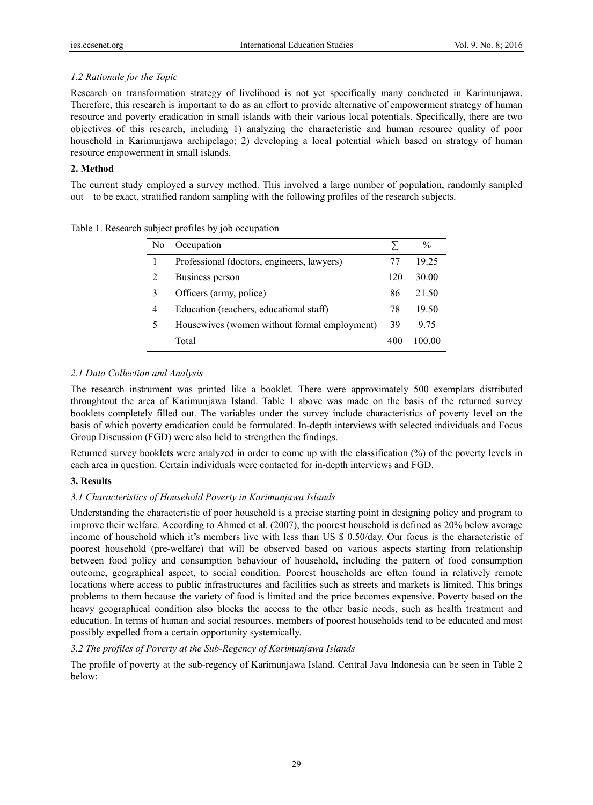# *1.2 Rationale for the Topic*

Research on transformation strategy of livelihood is not yet specifically many conducted in Karimunjawa. Therefore, this research is important to do as an effort to provide alternative of empowerment strategy of human resource and poverty eradication in small islands with their various local potentials. Specifically, there are two objectives of this research, including 1) analyzing the characteristic and human resource quality of poor household in Karimunjawa archipelago; 2) developing a local potential which based on strategy of human resource empowerment in small islands.

# **2. Method**

The current study employed a survey method. This involved a large number of population, randomly sampled out—to be exact, stratified random sampling with the following profiles of the research subjects.

| No. | Occupation                                   |     | $\frac{0}{0}$ |
|-----|----------------------------------------------|-----|---------------|
|     | Professional (doctors, engineers, lawyers)   | 77  | 19 25         |
|     | Business person                              | 120 | 30.00         |
| 3   | Officers (army, police)                      | 86  | 21.50         |
| 4   | Education (teachers, educational staff)      | 78  | 19.50         |
| 5   | Housewives (women without formal employment) | 39  | 9.75          |
|     | Total                                        | 400 | 100.00        |

Table 1. Research subject profiles by job occupation

## *2.1 Data Collection and Analysis*

The research instrument was printed like a booklet. There were approximately 500 exemplars distributed throughtout the area of Karimunjawa Island. Table 1 above was made on the basis of the returned survey booklets completely filled out. The variables under the survey include characteristics of poverty level on the basis of which poverty eradication could be formulated. In-depth interviews with selected individuals and Focus Group Discussion (FGD) were also held to strengthen the findings.

Returned survey booklets were analyzed in order to come up with the classification (%) of the poverty levels in each area in question. Certain individuals were contacted for in-depth interviews and FGD.

## **3. Results**

## *3.1 Characteristics of Household Poverty in Karimunjawa Islands*

Understanding the characteristic of poor household is a precise starting point in designing policy and program to improve their welfare. According to Ahmed et al. (2007), the poorest household is defined as 20% below average income of household which it's members live with less than US \$ 0.50/day. Our focus is the characteristic of poorest household (pre-welfare) that will be observed based on various aspects starting from relationship between food policy and consumption behaviour of household, including the pattern of food consumption outcome, geographical aspect, to social condition. Poorest households are often found in relatively remote locations where access to public infrastructures and facilities such as streets and markets is limited. This brings problems to them because the variety of food is limited and the price becomes expensive. Poverty based on the heavy geographical condition also blocks the access to the other basic needs, such as health treatment and education. In terms of human and social resources, members of poorest households tend to be educated and most possibly expelled from a certain opportunity systemically.

## *3.2 The profiles of Poverty at the Sub-Regency of Karimunjawa Islands*

The profile of poverty at the sub-regency of Karimunjawa Island, Central Java Indonesia can be seen in Table 2 below: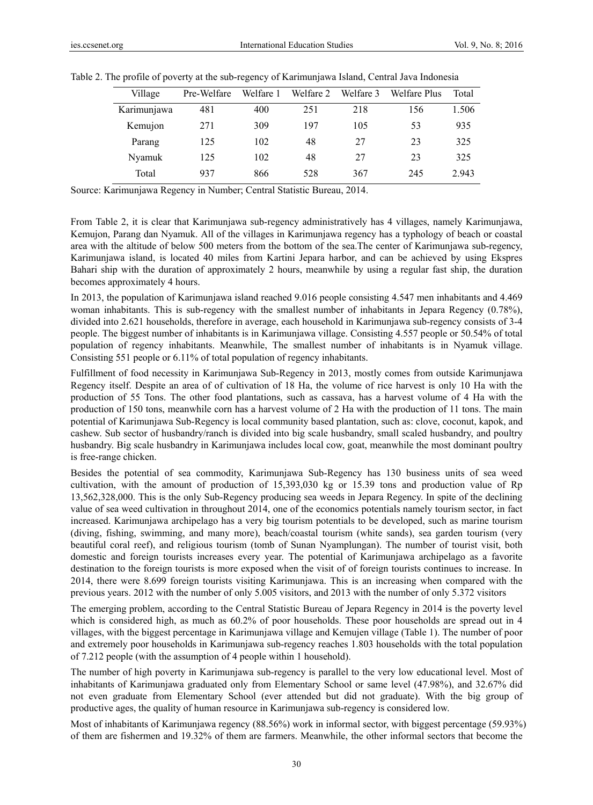| Village     | Pre-Welfare | Welfare 1 | Welfare 2 | Welfare 3 | Welfare Plus | Total |
|-------------|-------------|-----------|-----------|-----------|--------------|-------|
| Karimunjawa | 481         | 400       | 251       | 218       | 156          | 1.506 |
| Kemujon     | 271         | 309       | 197       | 105       | 53           | 935   |
| Parang      | 125         | 102       | 48        | 27        | 23           | 325   |
| Nyamuk      | 125         | 102       | 48        | 27        | 23           | 325   |
| Total       | 937         | 866       | 528       | 367       | 245          | 2943  |

|  |  | Table 2. The profile of poverty at the sub-regency of Karimunjawa Island, Central Java Indonesia |
|--|--|--------------------------------------------------------------------------------------------------|
|  |  |                                                                                                  |

Source: Karimunjawa Regency in Number; Central Statistic Bureau, 2014.

From Table 2, it is clear that Karimunjawa sub-regency administratively has 4 villages, namely Karimunjawa, Kemujon, Parang dan Nyamuk. All of the villages in Karimunjawa regency has a typhology of beach or coastal area with the altitude of below 500 meters from the bottom of the sea.The center of Karimunjawa sub-regency, Karimunjawa island, is located 40 miles from Kartini Jepara harbor, and can be achieved by using Ekspres Bahari ship with the duration of approximately 2 hours, meanwhile by using a regular fast ship, the duration becomes approximately 4 hours.

In 2013, the population of Karimunjawa island reached 9.016 people consisting 4.547 men inhabitants and 4.469 woman inhabitants. This is sub-regency with the smallest number of inhabitants in Jepara Regency (0.78%), divided into 2.621 households, therefore in average, each household in Karimunjawa sub-regency consists of 3-4 people. The biggest number of inhabitants is in Karimunjawa village. Consisting 4.557 people or 50.54% of total population of regency inhabitants. Meanwhile, The smallest number of inhabitants is in Nyamuk village. Consisting 551 people or 6.11% of total population of regency inhabitants.

Fulfillment of food necessity in Karimunjawa Sub-Regency in 2013, mostly comes from outside Karimunjawa Regency itself. Despite an area of of cultivation of 18 Ha, the volume of rice harvest is only 10 Ha with the production of 55 Tons. The other food plantations, such as cassava, has a harvest volume of 4 Ha with the production of 150 tons, meanwhile corn has a harvest volume of 2 Ha with the production of 11 tons. The main potential of Karimunjawa Sub-Regency is local community based plantation, such as: clove, coconut, kapok, and cashew. Sub sector of husbandry/ranch is divided into big scale husbandry, small scaled husbandry, and poultry husbandry. Big scale husbandry in Karimunjawa includes local cow, goat, meanwhile the most dominant poultry is free-range chicken.

Besides the potential of sea commodity, Karimunjawa Sub-Regency has 130 business units of sea weed cultivation, with the amount of production of 15,393,030 kg or 15.39 tons and production value of Rp 13,562,328,000. This is the only Sub-Regency producing sea weeds in Jepara Regency. In spite of the declining value of sea weed cultivation in throughout 2014, one of the economics potentials namely tourism sector, in fact increased. Karimunjawa archipelago has a very big tourism potentials to be developed, such as marine tourism (diving, fishing, swimming, and many more), beach/coastal tourism (white sands), sea garden tourism (very beautiful coral reef), and religious tourism (tomb of Sunan Nyamplungan). The number of tourist visit, both domestic and foreign tourists increases every year. The potential of Karimunjawa archipelago as a favorite destination to the foreign tourists is more exposed when the visit of of foreign tourists continues to increase. In 2014, there were 8.699 foreign tourists visiting Karimunjawa. This is an increasing when compared with the previous years. 2012 with the number of only 5.005 visitors, and 2013 with the number of only 5.372 visitors

The emerging problem, according to the Central Statistic Bureau of Jepara Regency in 2014 is the poverty level which is considered high, as much as  $60.2\%$  of poor households. These poor households are spread out in 4 villages, with the biggest percentage in Karimunjawa village and Kemujen village (Table 1). The number of poor and extremely poor households in Karimunjawa sub-regency reaches 1.803 households with the total population of 7.212 people (with the assumption of 4 people within 1 household).

The number of high poverty in Karimunjawa sub-regency is parallel to the very low educational level. Most of inhabitants of Karimunjawa graduated only from Elementary School or same level (47.98%), and 32.67% did not even graduate from Elementary School (ever attended but did not graduate). With the big group of productive ages, the quality of human resource in Karimunjawa sub-regency is considered low.

Most of inhabitants of Karimunjawa regency (88.56%) work in informal sector, with biggest percentage (59.93%) of them are fishermen and 19.32% of them are farmers. Meanwhile, the other informal sectors that become the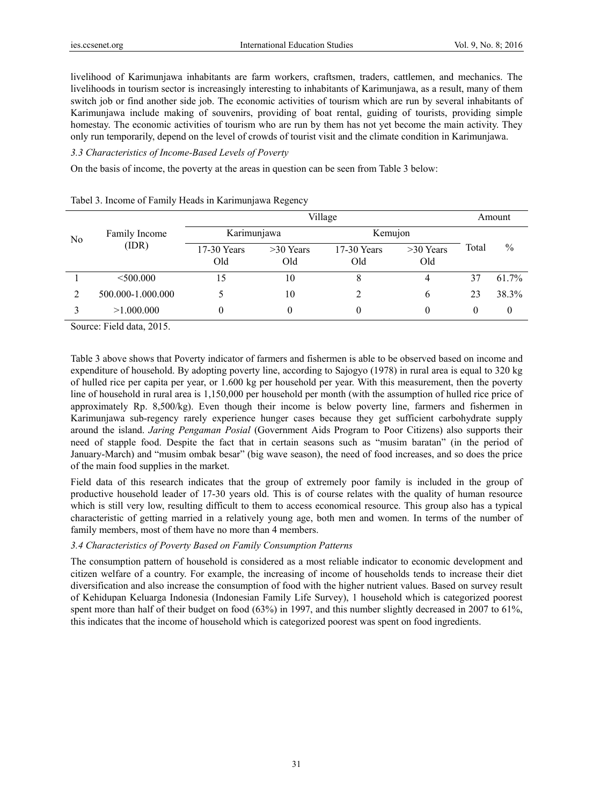livelihood of Karimunjawa inhabitants are farm workers, craftsmen, traders, cattlemen, and mechanics. The livelihoods in tourism sector is increasingly interesting to inhabitants of Karimunjawa, as a result, many of them switch job or find another side job. The economic activities of tourism which are run by several inhabitants of Karimunjawa include making of souvenirs, providing of boat rental, guiding of tourists, providing simple homestay. The economic activities of tourism who are run by them has not yet become the main activity. They only run temporarily, depend on the level of crowds of tourist visit and the climate condition in Karimunjawa.

## *3.3 Characteristics of Income-Based Levels of Poverty*

On the basis of income, the poverty at the areas in question can be seen from Table 3 below:

| N <sub>0</sub> | Family Income<br>(IDR) | Village              |                    |                    |                    | Amount |               |
|----------------|------------------------|----------------------|--------------------|--------------------|--------------------|--------|---------------|
|                |                        | Karimunjawa          |                    | Kemujon            |                    |        |               |
|                |                        | $17-30$ Years<br>Old | $>30$ Years<br>Old | 17-30 Years<br>Old | $>30$ Years<br>Old | Total  | $\frac{0}{0}$ |
|                | $<$ 500.000            | 15                   | 10                 | 8                  | 4                  | 37     | 61.7%         |
| 2              | 500.000-1.000.000      |                      | 10                 | 2                  | 6                  | 23     | 38.3%         |
|                | >1.000.000             | 0                    | 0                  |                    | 0                  | 0      | 0             |

## Tabel 3. Income of Family Heads in Karimunjawa Regency

Source: Field data, 2015.

Table 3 above shows that Poverty indicator of farmers and fishermen is able to be observed based on income and expenditure of household. By adopting poverty line, according to Sajogyo (1978) in rural area is equal to 320 kg of hulled rice per capita per year, or 1.600 kg per household per year. With this measurement, then the poverty line of household in rural area is 1,150,000 per household per month (with the assumption of hulled rice price of approximately Rp. 8,500/kg). Even though their income is below poverty line, farmers and fishermen in Karimunjawa sub-regency rarely experience hunger cases because they get sufficient carbohydrate supply around the island. *Jaring Pengaman Posial* (Government Aids Program to Poor Citizens) also supports their need of stapple food. Despite the fact that in certain seasons such as "musim baratan" (in the period of January-March) and "musim ombak besar" (big wave season), the need of food increases, and so does the price of the main food supplies in the market.

Field data of this research indicates that the group of extremely poor family is included in the group of productive household leader of 17-30 years old. This is of course relates with the quality of human resource which is still very low, resulting difficult to them to access economical resource. This group also has a typical characteristic of getting married in a relatively young age, both men and women. In terms of the number of family members, most of them have no more than 4 members.

# *3.4 Characteristics of Poverty Based on Family Consumption Patterns*

The consumption pattern of household is considered as a most reliable indicator to economic development and citizen welfare of a country. For example, the increasing of income of households tends to increase their diet diversification and also increase the consumption of food with the higher nutrient values. Based on survey result of Kehidupan Keluarga Indonesia (Indonesian Family Life Survey), 1 household which is categorized poorest spent more than half of their budget on food (63%) in 1997, and this number slightly decreased in 2007 to 61%, this indicates that the income of household which is categorized poorest was spent on food ingredients.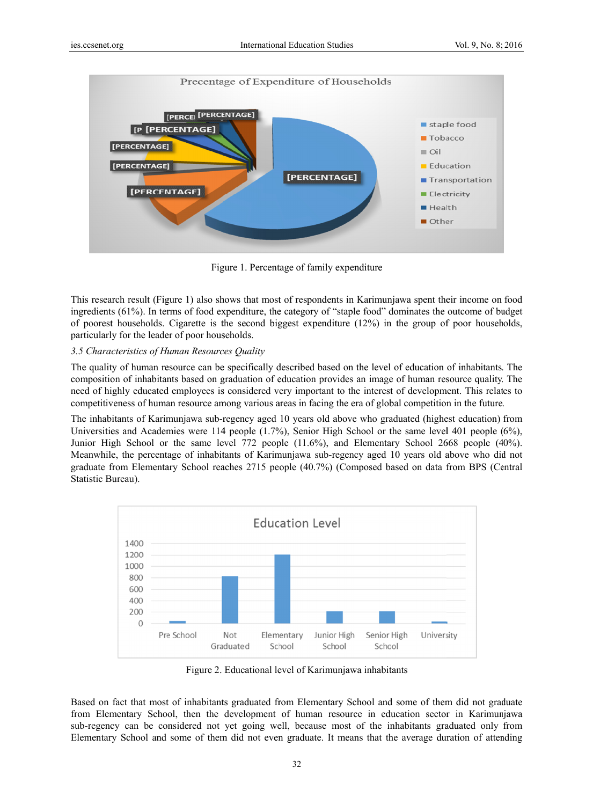

Figure 1. Percentage of family expenditure

This research result (Figure 1) also shows that most of respondents in Karimunjawa spent their income on food ingredients (61%). In terms of food expenditure, the category of "staple food" dominates the outcome of budget of poorest households. Cigarette is the second biggest expenditure (12%) in the group of poor households, particularly for the leader of poor households.

## 3.5 Characteristics of Human Resources Quality

The quality of human resource can be specifically described based on the level of education of inhabitants. The composition of inhabitants based on graduation of education provides an image of human resource quality. The need of highly educated employees is considered very important to the interest of development. This relates to competitiveness of human resource among various areas in facing the era of global competition in the future.

The inhabitants of Karimunjawa sub-regency aged 10 years old above who graduated (highest education) from Universities and Academies were 114 people (1.7%), Senior High School or the same level 401 people (6%), Junior High School or the same level 772 people (11.6%), and Elementary School 2668 people (40%). Meanwhile, the percentage of inhabitants of Karimunjawa sub-regency aged 10 years old above who did not graduate from Elementary School reaches 2715 people (40.7%) (Composed based on data from BPS (Central Statistic B ureau).



Figure 2. Educational level of Karimunjawa inhabitants

Based on fact that most of inhabitants graduated from Elementary School and some of them did not graduate from Elementary School, then the development of human resource in education sector in Karimunjawa sub-regency can be considered not yet going well, because most of the inhabitants graduated only from Elementary School and some of them did not even graduate. It means that the average duration of attending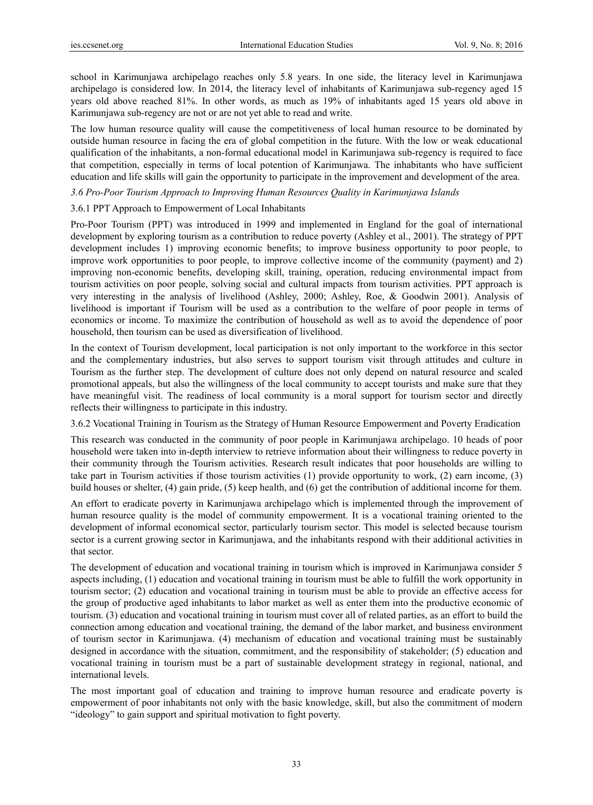school in Karimunjawa archipelago reaches only 5.8 years. In one side, the literacy level in Karimunjawa archipelago is considered low. In 2014, the literacy level of inhabitants of Karimunjawa sub-regency aged 15 years old above reached 81%. In other words, as much as 19% of inhabitants aged 15 years old above in Karimunjawa sub-regency are not or are not yet able to read and write.

The low human resource quality will cause the competitiveness of local human resource to be dominated by outside human resource in facing the era of global competition in the future. With the low or weak educational qualification of the inhabitants, a non-formal educational model in Karimunjawa sub-regency is required to face that competition, especially in terms of local potention of Karimunjawa. The inhabitants who have sufficient education and life skills will gain the opportunity to participate in the improvement and development of the area.

#### *3.6 Pro-Poor Tourism Approach to Improving Human Resources Quality in Karimunjawa Islands*

## 3.6.1 PPT Approach to Empowerment of Local Inhabitants

Pro-Poor Tourism (PPT) was introduced in 1999 and implemented in England for the goal of international development by exploring tourism as a contribution to reduce poverty (Ashley et al., 2001). The strategy of PPT development includes 1) improving economic benefits; to improve business opportunity to poor people, to improve work opportunities to poor people, to improve collective income of the community (payment) and 2) improving non-economic benefits, developing skill, training, operation, reducing environmental impact from tourism activities on poor people, solving social and cultural impacts from tourism activities. PPT approach is very interesting in the analysis of livelihood (Ashley, 2000; Ashley, Roe, & Goodwin 2001). Analysis of livelihood is important if Tourism will be used as a contribution to the welfare of poor people in terms of economics or income. To maximize the contribution of household as well as to avoid the dependence of poor household, then tourism can be used as diversification of livelihood.

In the context of Tourism development, local participation is not only important to the workforce in this sector and the complementary industries, but also serves to support tourism visit through attitudes and culture in Tourism as the further step. The development of culture does not only depend on natural resource and scaled promotional appeals, but also the willingness of the local community to accept tourists and make sure that they have meaningful visit. The readiness of local community is a moral support for tourism sector and directly reflects their willingness to participate in this industry.

3.6.2 Vocational Training in Tourism as the Strategy of Human Resource Empowerment and Poverty Eradication

This research was conducted in the community of poor people in Karimunjawa archipelago. 10 heads of poor household were taken into in-depth interview to retrieve information about their willingness to reduce poverty in their community through the Tourism activities. Research result indicates that poor households are willing to take part in Tourism activities if those tourism activities (1) provide opportunity to work, (2) earn income, (3) build houses or shelter, (4) gain pride, (5) keep health, and (6) get the contribution of additional income for them.

An effort to eradicate poverty in Karimunjawa archipelago which is implemented through the improvement of human resource quality is the model of community empowerment. It is a vocational training oriented to the development of informal economical sector, particularly tourism sector. This model is selected because tourism sector is a current growing sector in Karimunjawa, and the inhabitants respond with their additional activities in that sector.

The development of education and vocational training in tourism which is improved in Karimunjawa consider 5 aspects including, (1) education and vocational training in tourism must be able to fulfill the work opportunity in tourism sector; (2) education and vocational training in tourism must be able to provide an effective access for the group of productive aged inhabitants to labor market as well as enter them into the productive economic of tourism. (3) education and vocational training in tourism must cover all of related parties, as an effort to build the connection among education and vocational training, the demand of the labor market, and business environment of tourism sector in Karimunjawa. (4) mechanism of education and vocational training must be sustainably designed in accordance with the situation, commitment, and the responsibility of stakeholder; (5) education and vocational training in tourism must be a part of sustainable development strategy in regional, national, and international levels.

The most important goal of education and training to improve human resource and eradicate poverty is empowerment of poor inhabitants not only with the basic knowledge, skill, but also the commitment of modern "ideology" to gain support and spiritual motivation to fight poverty.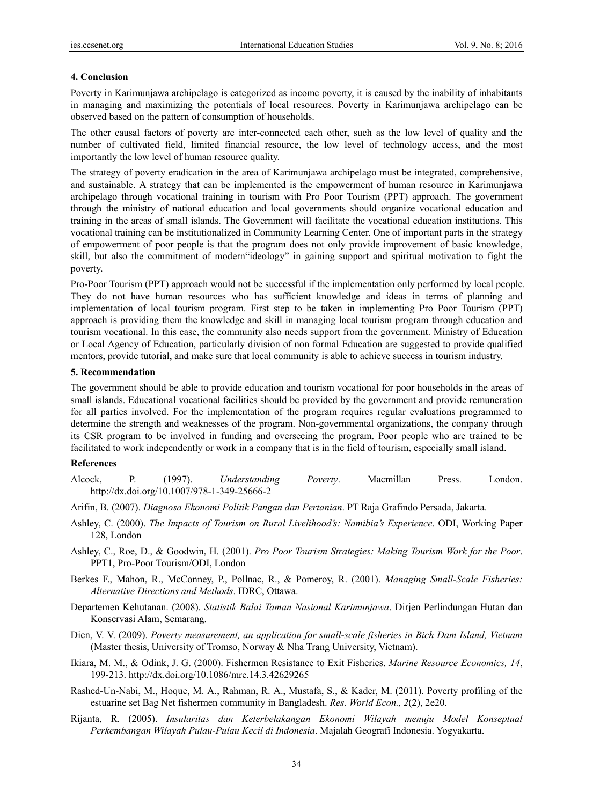#### **4. Conclusion**

Poverty in Karimunjawa archipelago is categorized as income poverty, it is caused by the inability of inhabitants in managing and maximizing the potentials of local resources. Poverty in Karimunjawa archipelago can be observed based on the pattern of consumption of households.

The other causal factors of poverty are inter-connected each other, such as the low level of quality and the number of cultivated field, limited financial resource, the low level of technology access, and the most importantly the low level of human resource quality.

The strategy of poverty eradication in the area of Karimunjawa archipelago must be integrated, comprehensive, and sustainable. A strategy that can be implemented is the empowerment of human resource in Karimunjawa archipelago through vocational training in tourism with Pro Poor Tourism (PPT) approach. The government through the ministry of national education and local governments should organize vocational education and training in the areas of small islands. The Government will facilitate the vocational education institutions. This vocational training can be institutionalized in Community Learning Center. One of important parts in the strategy of empowerment of poor people is that the program does not only provide improvement of basic knowledge, skill, but also the commitment of modern"ideology" in gaining support and spiritual motivation to fight the poverty.

Pro-Poor Tourism (PPT) approach would not be successful if the implementation only performed by local people. They do not have human resources who has sufficient knowledge and ideas in terms of planning and implementation of local tourism program. First step to be taken in implementing Pro Poor Tourism (PPT) approach is providing them the knowledge and skill in managing local tourism program through education and tourism vocational. In this case, the community also needs support from the government. Ministry of Education or Local Agency of Education, particularly division of non formal Education are suggested to provide qualified mentors, provide tutorial, and make sure that local community is able to achieve success in tourism industry.

## **5. Recommendation**

The government should be able to provide education and tourism vocational for poor households in the areas of small islands. Educational vocational facilities should be provided by the government and provide remuneration for all parties involved. For the implementation of the program requires regular evaluations programmed to determine the strength and weaknesses of the program. Non-governmental organizations, the company through its CSR program to be involved in funding and overseeing the program. Poor people who are trained to be facilitated to work independently or work in a company that is in the field of tourism, especially small island.

#### **References**

- Alcock, P. (1997). *Understanding Poverty*. Macmillan Press. London. http://dx.doi.org/10.1007/978-1-349-25666-2
- Arifin, B. (2007). *Diagnosa Ekonomi Politik Pangan dan Pertanian*. PT Raja Grafindo Persada, Jakarta.
- Ashley, C. (2000). *The Impacts of Tourism on Rural Livelihood's: Namibia's Experience*. ODI, Working Paper 128, London
- Ashley, C., Roe, D., & Goodwin, H. (2001). *Pro Poor Tourism Strategies: Making Tourism Work for the Poor*. PPT1, Pro-Poor Tourism/ODI, London
- Berkes F., Mahon, R., McConney, P., Pollnac, R., & Pomeroy, R. (2001). *Managing Small-Scale Fisheries: Alternative Directions and Methods*. IDRC, Ottawa.
- Departemen Kehutanan. (2008). *Statistik Balai Taman Nasional Karimunjawa*. Dirjen Perlindungan Hutan dan Konservasi Alam, Semarang.
- Dien, V. V. (2009). *Poverty measurement, an application for small-scale fisheries in Bich Dam Island, Vietnam* (Master thesis, University of Tromso, Norway & Nha Trang University, Vietnam).
- Ikiara, M. M., & Odink, J. G. (2000). Fishermen Resistance to Exit Fisheries. *Marine Resource Economics, 14*, 199-213. http://dx.doi.org/10.1086/mre.14.3.42629265
- Rashed-Un-Nabi, M., Hoque, M. A., Rahman, R. A., Mustafa, S., & Kader, M. (2011). Poverty profiling of the estuarine set Bag Net fishermen community in Bangladesh. *Res. World Econ., 2*(2), 2e20.
- Rijanta, R. (2005). *Insularitas dan Keterbelakangan Ekonomi Wilayah menuju Model Konseptual Perkembangan Wilayah Pulau-Pulau Kecil di Indonesia*. Majalah Geografi Indonesia. Yogyakarta.